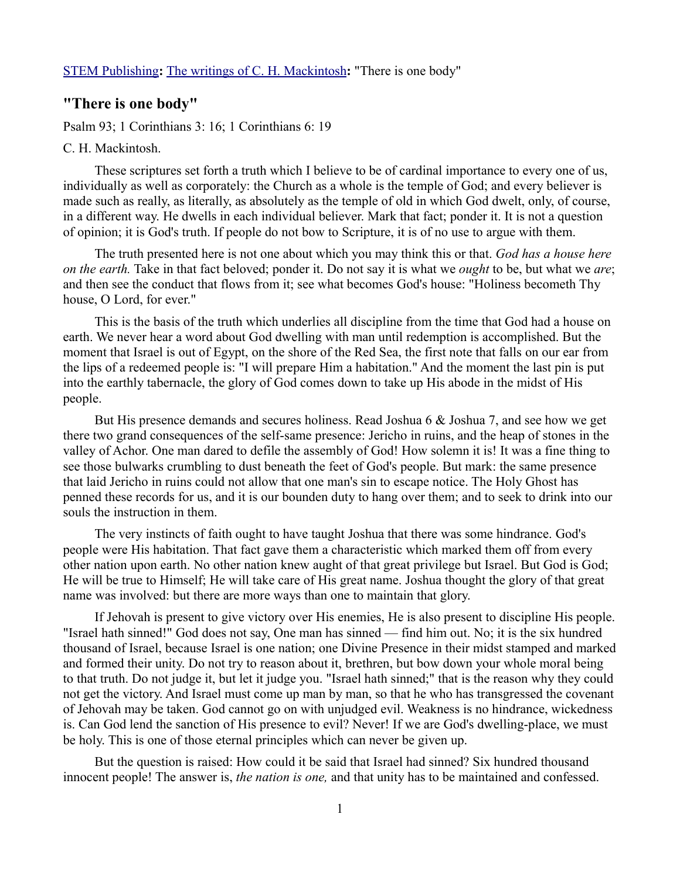## **"There is one body"**

Psalm 93; 1 Corinthians 3: 16; 1 Corinthians 6: 19

## C. H. Mackintosh.

These scriptures set forth a truth which I believe to be of cardinal importance to every one of us, individually as well as corporately: the Church as a whole is the temple of God; and every believer is made such as really, as literally, as absolutely as the temple of old in which God dwelt, only, of course, in a different way. He dwells in each individual believer. Mark that fact; ponder it. It is not a question of opinion; it is God's truth. If people do not bow to Scripture, it is of no use to argue with them.

The truth presented here is not one about which you may think this or that. *God has a house here on the earth.* Take in that fact beloved; ponder it. Do not say it is what we *ought* to be, but what we *are*; and then see the conduct that flows from it; see what becomes God's house: "Holiness becometh Thy house, O Lord, for ever."

This is the basis of the truth which underlies all discipline from the time that God had a house on earth. We never hear a word about God dwelling with man until redemption is accomplished. But the moment that Israel is out of Egypt, on the shore of the Red Sea, the first note that falls on our ear from the lips of a redeemed people is: "I will prepare Him a habitation." And the moment the last pin is put into the earthly tabernacle, the glory of God comes down to take up His abode in the midst of His people.

But His presence demands and secures holiness. Read Joshua 6 & Joshua 7, and see how we get there two grand consequences of the self-same presence: Jericho in ruins, and the heap of stones in the valley of Achor. One man dared to defile the assembly of God! How solemn it is! It was a fine thing to see those bulwarks crumbling to dust beneath the feet of God's people. But mark: the same presence that laid Jericho in ruins could not allow that one man's sin to escape notice. The Holy Ghost has penned these records for us, and it is our bounden duty to hang over them; and to seek to drink into our souls the instruction in them.

The very instincts of faith ought to have taught Joshua that there was some hindrance. God's people were His habitation. That fact gave them a characteristic which marked them off from every other nation upon earth. No other nation knew aught of that great privilege but Israel. But God is God; He will be true to Himself; He will take care of His great name. Joshua thought the glory of that great name was involved: but there are more ways than one to maintain that glory.

If Jehovah is present to give victory over His enemies, He is also present to discipline His people. "Israel hath sinned!" God does not say, One man has sinned — find him out. No; it is the six hundred thousand of Israel, because Israel is one nation; one Divine Presence in their midst stamped and marked and formed their unity. Do not try to reason about it, brethren, but bow down your whole moral being to that truth. Do not judge it, but let it judge you. "Israel hath sinned;" that is the reason why they could not get the victory. And Israel must come up man by man, so that he who has transgressed the covenant of Jehovah may be taken. God cannot go on with unjudged evil. Weakness is no hindrance, wickedness is. Can God lend the sanction of His presence to evil? Never! If we are God's dwelling-place, we must be holy. This is one of those eternal principles which can never be given up.

But the question is raised: How could it be said that Israel had sinned? Six hundred thousand innocent people! The answer is, *the nation is one,* and that unity has to be maintained and confessed.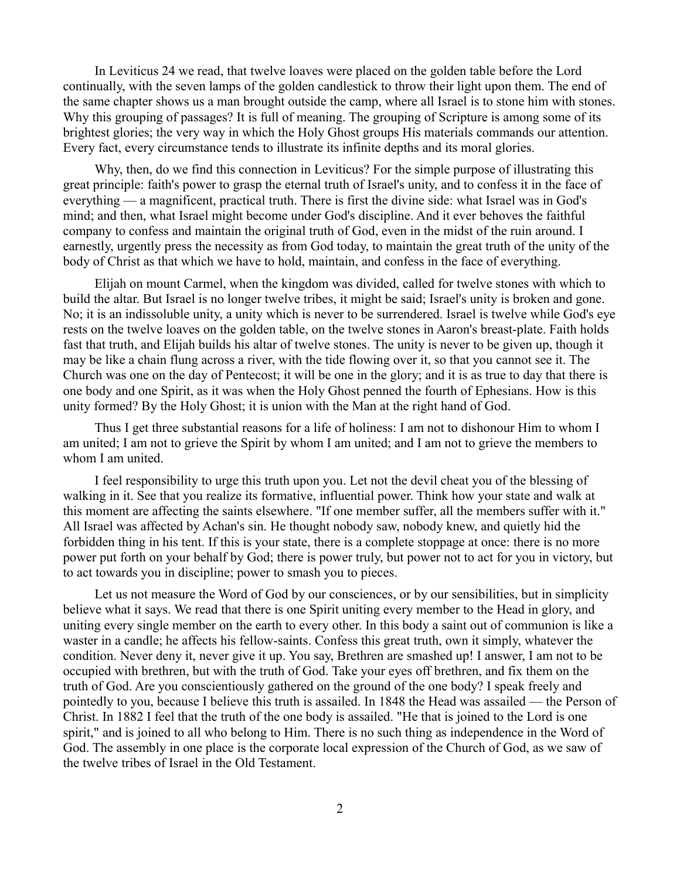In Leviticus 24 we read, that twelve loaves were placed on the golden table before the Lord continually, with the seven lamps of the golden candlestick to throw their light upon them. The end of the same chapter shows us a man brought outside the camp, where all Israel is to stone him with stones. Why this grouping of passages? It is full of meaning. The grouping of Scripture is among some of its brightest glories; the very way in which the Holy Ghost groups His materials commands our attention. Every fact, every circumstance tends to illustrate its infinite depths and its moral glories.

Why, then, do we find this connection in Leviticus? For the simple purpose of illustrating this great principle: faith's power to grasp the eternal truth of Israel's unity, and to confess it in the face of everything — a magnificent, practical truth. There is first the divine side: what Israel was in God's mind; and then, what Israel might become under God's discipline. And it ever behoves the faithful company to confess and maintain the original truth of God, even in the midst of the ruin around. I earnestly, urgently press the necessity as from God today, to maintain the great truth of the unity of the body of Christ as that which we have to hold, maintain, and confess in the face of everything.

Elijah on mount Carmel, when the kingdom was divided, called for twelve stones with which to build the altar. But Israel is no longer twelve tribes, it might be said; Israel's unity is broken and gone. No; it is an indissoluble unity, a unity which is never to be surrendered. Israel is twelve while God's eye rests on the twelve loaves on the golden table, on the twelve stones in Aaron's breast-plate. Faith holds fast that truth, and Elijah builds his altar of twelve stones. The unity is never to be given up, though it may be like a chain flung across a river, with the tide flowing over it, so that you cannot see it. The Church was one on the day of Pentecost; it will be one in the glory; and it is as true to day that there is one body and one Spirit, as it was when the Holy Ghost penned the fourth of Ephesians. How is this unity formed? By the Holy Ghost; it is union with the Man at the right hand of God.

Thus I get three substantial reasons for a life of holiness: I am not to dishonour Him to whom I am united; I am not to grieve the Spirit by whom I am united; and I am not to grieve the members to whom I am united.

I feel responsibility to urge this truth upon you. Let not the devil cheat you of the blessing of walking in it. See that you realize its formative, influential power. Think how your state and walk at this moment are affecting the saints elsewhere. "If one member suffer, all the members suffer with it." All Israel was affected by Achan's sin. He thought nobody saw, nobody knew, and quietly hid the forbidden thing in his tent. If this is your state, there is a complete stoppage at once: there is no more power put forth on your behalf by God; there is power truly, but power not to act for you in victory, but to act towards you in discipline; power to smash you to pieces.

Let us not measure the Word of God by our consciences, or by our sensibilities, but in simplicity believe what it says. We read that there is one Spirit uniting every member to the Head in glory, and uniting every single member on the earth to every other. In this body a saint out of communion is like a waster in a candle; he affects his fellow-saints. Confess this great truth, own it simply, whatever the condition. Never deny it, never give it up. You say, Brethren are smashed up! I answer, I am not to be occupied with brethren, but with the truth of God. Take your eyes off brethren, and fix them on the truth of God. Are you conscientiously gathered on the ground of the one body? I speak freely and pointedly to you, because I believe this truth is assailed. In 1848 the Head was assailed — the Person of Christ. In 1882 I feel that the truth of the one body is assailed. "He that is joined to the Lord is one spirit," and is joined to all who belong to Him. There is no such thing as independence in the Word of God. The assembly in one place is the corporate local expression of the Church of God, as we saw of the twelve tribes of Israel in the Old Testament.